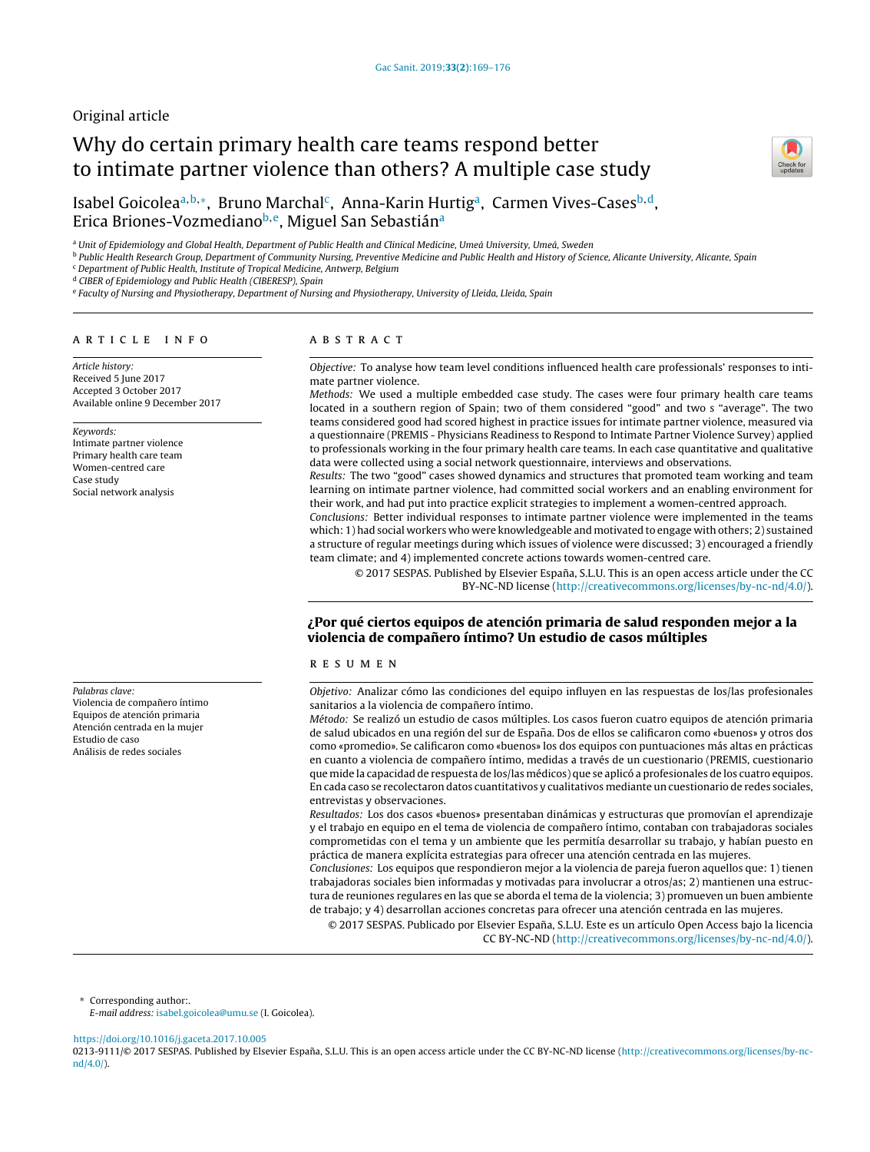# Original article

# Why do certain primary health care teams respond better to intimate partner violence than others? A multiple case study



Isabel Goicoleaª<sup>,b,</sup>\*, Bruno Marchal<sup>c</sup>, Anna-Karin Hurtigª, Carmen Vives-Cases<sup>b,d</sup>, Erica Briones-Vozmediano<sup>b,e</sup>, Miguel San Sebastián<sup>a</sup>

a Unit of Epidemiology and Global Health, Department of Public Health and Clinical Medicine, Umeå University, Umeå, Sweden

**b Public Health Research Group, Department of Community Nursing, Preventive Medicine and Public Health and History of Science, Alicante University, Alicante, Spain**  $\,^{\mathrm{c}}$  Department of Public Health, Institute of Tropical Medicine, Antwerp, Belgium

<sup>d</sup> CIBER of Epidemiology and Public Health (CIBERESP), Spain

<sup>e</sup> Faculty of Nursing and Physiotherapy, Department of Nursing and Physiotherapy, University of Lleida, Lleida, Spain

# a r t i c l e i n f o

Article history: Received 5 June 2017 Accepted 3 October 2017 Available online 9 December 2017

#### Keywords:

Intimate partner violence Primary health care team Women-centred care Case study Social network analysis

Palabras clave: Violencia de compañero íntimo Equipos de atención primaria Atención centrada en la mujer Estudio de caso Análisis de redes sociales

# A B S T R A C T

Objective: To analyse how team level conditions influenced health care professionals' responses to intimate partner violence.

Methods: We used a multiple embedded case study. The cases were four primary health care teams located in a southern region of Spain; two of them considered "good" and two s "average". The two teams considered good had scored highest in practice issues for intimate partner violence, measured via a questionnaire (PREMIS - Physicians Readiness to Respond to Intimate Partner Violence Survey) applied to professionals working in the four primary health care teams. In each case quantitative and qualitative data were collected using a social network questionnaire, interviews and observations.

Results: The two "good" cases showed dynamics and structures that promoted team working and team learning on intimate partner violence, had committed social workers and an enabling environment for their work, and had put into practice explicit strategies to implement a women-centred approach.

Conclusions: Better individual responses to intimate partner violence were implemented in the teams which: 1) had social workers who were knowledgeable and motivated to engage with others; 2) sustained a structure of regular meetings during which issues of violence were discussed; 3) encouraged a friendly team climate; and 4) implemented concrete actions towards women-centred care.

© 2017 SESPAS. Published by Elsevier España, S.L.U. This is an open access article under the CC BY-NC-ND license [\(http://creativecommons.org/licenses/by-nc-nd/4.0/](http://creativecommons.org/licenses/by-nc-nd/4.0/)).

# ¿Por qué ciertos equipos de atención primaria de salud responden mejor a la violencia de compañero íntimo? Un estudio de casos múltiples

# r e s u m e n

Objetivo: Analizar cómo las condiciones del equipo influyen en las respuestas de los/las profesionales sanitarios a la violencia de compañero íntimo.

Método: Se realizó un estudio de casos múltiples. Los casos fueron cuatro equipos de atención primaria de salud ubicados en una región del sur de España. Dos de ellos se calificaron como «buenos» y otros dos como «promedio». Se calificaron como «buenos» los dos equipos con puntuaciones más altas en prácticas en cuanto a violencia de compañero íntimo, medidas a través de un cuestionario (PREMIS, cuestionario que mide la capacidad de respuesta de los/las médicos) que se aplicó a profesionales de los cuatro equipos. En cada caso se recolectaron datos cuantitativos y cualitativos mediante un cuestionario de redes sociales, entrevistas y observaciones.

Resultados: Los dos casos «buenos» presentaban dinámicas y estructuras que promovían el aprendizaje y el trabajo en equipo en el tema de violencia de compañero íntimo, contaban con trabajadoras sociales comprometidas con el tema y un ambiente que les permitía desarrollar su trabajo, y habían puesto en práctica de manera explícita estrategias para ofrecer una atención centrada en las mujeres.

Conclusiones: Los equipos que respondieron mejor a la violencia de pareja fueron aquellos que: 1) tienen trabajadoras sociales bien informadas y motivadas para involucrar a otros/as; 2) mantienen una estructura de reuniones regulares en las que se aborda el tema de la violencia; 3) promueven un buen ambiente de trabajo; y 4) desarrollan acciones concretas para ofrecer una atención centrada en las mujeres.

© 2017 SESPAS. Publicado por Elsevier España, S.L.U. Este es un artículo Open Access bajo la licencia CC BY-NC-ND [\(http://creativecommons.org/licenses/by-nc-nd/4.0/](http://creativecommons.org/licenses/by-nc-nd/4.0/)).

<sup>∗</sup> Corresponding author:.

E-mail address: [isabel.goicolea@umu.se](mailto:isabel.goicolea@umu.se) (I. Goicolea).

<https://doi.org/10.1016/j.gaceta.2017.10.005>

0213-9111/© 2017 SESPAS. Published by Elsevier España, S.L.U. This is an open access article under the CC BY-NC-ND license [\(http://creativecommons.org/licenses/by-nc](http://creativecommons.org/licenses/by-nc-nd/4.0/)[nd/4.0/\)](http://creativecommons.org/licenses/by-nc-nd/4.0/).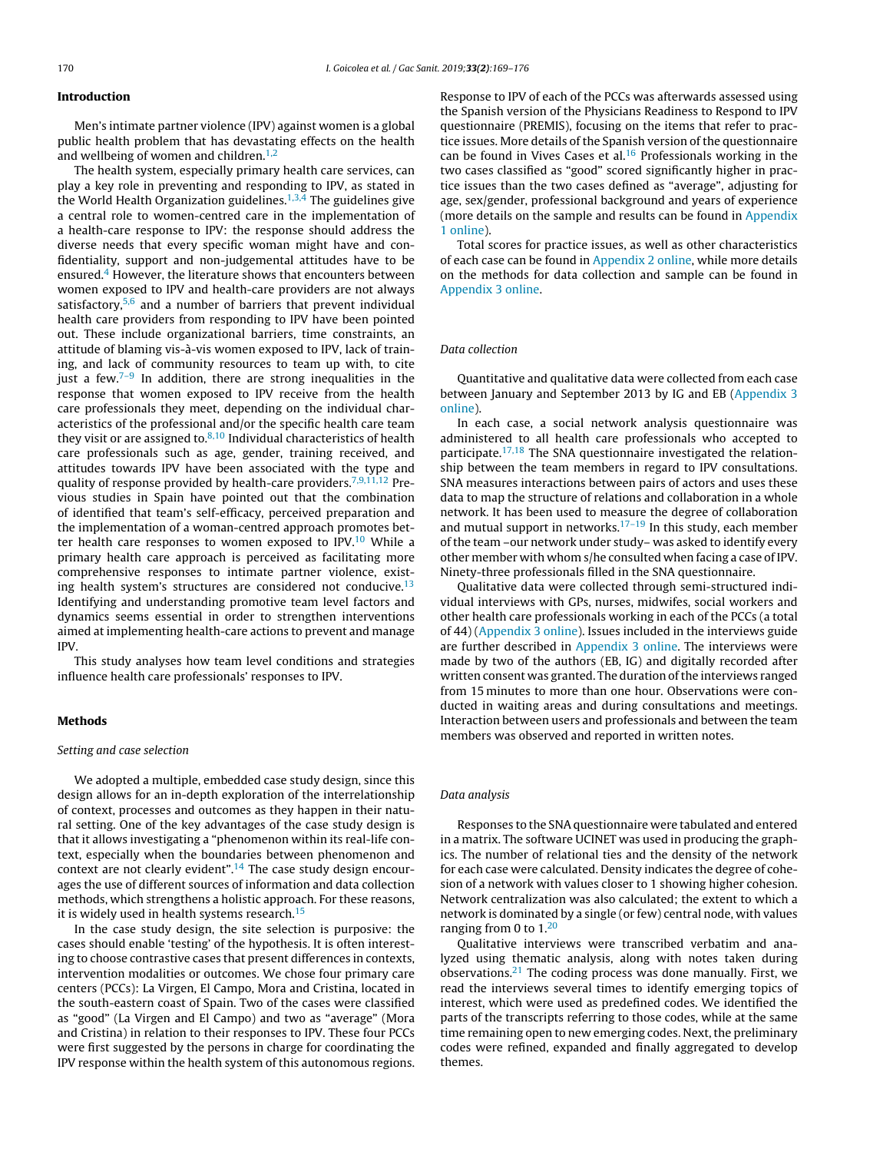# Introduction

Men's intimate partner violence (IPV) against women is a global public health problem that has devastating effects on the health and wellbeing of women and children. $1,2$ 

The health system, especially primary health care services, can play a key role in preventing and responding to IPV, as stated in the World Health Organization guidelines.<sup>[1,3,4](#page-6-0)</sup> The guidelines give a central role to women-centred care in the implementation of a health-care response to IPV: the response should address the diverse needs that every specific woman might have and confidentiality, support and non-judgemental attitudes have to be ensured.<sup>4</sup> [H](#page-6-0)owever, the literature shows that encounters between women exposed to IPV and health-care providers are not always satisfactory, $5,6$  and a number of barriers that prevent individual health care providers from responding to IPV have been pointed out. These include organizational barriers, time constraints, an attitude of blaming vis-à-vis women exposed to IPV, lack of training, and lack of community resources to team up with, to cite just a few.<sup>7-9</sup> In addition, there are strong inequalities in the response that women exposed to IPV receive from the health care professionals they meet, depending on the individual characteristics of the professional and/or the specific health care team they visit or are assigned to. $8,10$  Individual characteristics of health care professionals such as age, gender, training received, and attitudes towards IPV have been associated with the type and quality of response provided by health-care providers.<sup>[7,9,11,12](#page-6-0)</sup> Previous studies in Spain have pointed out that the combination of identified that team's self-efficacy, perceived preparation and the implementation of a woman-centred approach promotes better health care responses to women exposed to  $IPV<sub>10</sub>$  $IPV<sub>10</sub>$  $IPV<sub>10</sub>$  While a primary health care approach is perceived as facilitating more comprehensive responses to intimate partner violence, exist-ing health system's structures are considered not conducive.<sup>[13](#page-6-0)</sup> Identifying and understanding promotive team level factors and dynamics seems essential in order to strengthen interventions aimed at implementing health-care actions to prevent and manage IPV.

This study analyses how team level conditions and strategies influence health care professionals' responses to IPV.

# Methods

# Setting and case selection

We adopted a multiple, embedded case study design, since this design allows for an in-depth exploration of the interrelationship of context, processes and outcomes as they happen in their natural setting. One of the key advantages of the case study design is that it allows investigating a "phenomenon within its real-life context, especially when the boundaries between phenomenon and context are not clearly evident".<sup>[14](#page-6-0)</sup> The case study design encourages the use of different sources of information and data collection methods, which strengthens a holistic approach. For these reasons, it is widely used in health systems research.<sup>[15](#page-6-0)</sup>

In the case study design, the site selection is purposive: the cases should enable 'testing' of the hypothesis. It is often interesting to choose contrastive cases that present differences in contexts, intervention modalities or outcomes. We chose four primary care centers (PCCs): La Virgen, El Campo, Mora and Cristina, located in the south-eastern coast of Spain. Two of the cases were classified as "good" (La Virgen and El Campo) and two as "average" (Mora and Cristina) in relation to their responses to IPV. These four PCCs were first suggested by the persons in charge for coordinating the IPV response within the health system of this autonomous regions. Response to IPV of each of the PCCs was afterwards assessed using the Spanish version of the Physicians Readiness to Respond to IPV questionnaire (PREMIS), focusing on the items that refer to practice issues. More details of the Spanish version of the questionnaire can be found in Vives Cases et al.<sup>[16](#page-6-0)</sup> Professionals working in the two cases classified as "good" scored significantly higher in practice issues than the two cases defined as "average", adjusting for age, sex/gender, professional background and years of experience (more details on the sample and results can be found in [Appendix](#page-6-0) 1 online).

Total scores for practice issues, as well as other characteristics of each case can be found in [Appendix](#page-6-0) 2 online, while more details on the methods for data collection and sample can be found in [Appendix](#page-6-0) 3 online.

# Data collection

Quantitative and qualitative data were collected from each case between January and September 2013 by IG and EB ([Appendix](#page-6-0) 3 online).

In each case, a social network analysis questionnaire was administered to all health care professionals who accepted to participate.<sup>[17,18](#page-6-0)</sup> The SNA questionnaire investigated the relationship between the team members in regard to IPV consultations. SNA measures interactions between pairs of actors and uses these data to map the structure of relations and collaboration in a whole network. It has been used to measure the degree of collaboration and mutual support in networks.<sup>[17–19](#page-6-0)</sup> In this study, each member of the team –our network under study– was asked to identify every other member with whom s/he consulted when facing a case of IPV. Ninety-three professionals filled in the SNA questionnaire.

Qualitative data were collected through semi-structured individual interviews with GPs, nurses, midwifes, social workers and other health care professionals working in each of the PCCs (a total of 44) ([Appendix](#page-6-0) 3 online). Issues included in the interviews guide are further described in [Appendix](#page-6-0) 3 online. The interviews were made by two of the authors (EB, IG) and digitally recorded after written consent was granted. The duration of the interviews ranged from 15 minutes to more than one hour. Observations were conducted in waiting areas and during consultations and meetings. Interaction between users and professionals and between the team members was observed and reported in written notes.

## Data analysis

Responses to the SNA questionnaire were tabulated and entered in a matrix. The software UCINET was used in producing the graphics. The number of relational ties and the density of the network for each case were calculated. Density indicates the degree of cohesion of a network with values closer to 1 showing higher cohesion. Network centralization was also calculated; the extent to which a network is dominated by a single (or few) central node, with values ranging from 0 to  $1<sup>20</sup>$  $1<sup>20</sup>$  $1<sup>20</sup>$ 

Qualitative interviews were transcribed verbatim and analyzed using thematic analysis, along with notes taken during observations.<sup>[21](#page-6-0)</sup> The coding process was done manually. First, we read the interviews several times to identify emerging topics of interest, which were used as predefined codes. We identified the parts of the transcripts referring to those codes, while at the same time remaining open to new emerging codes. Next, the preliminary codes were refined, expanded and finally aggregated to develop themes.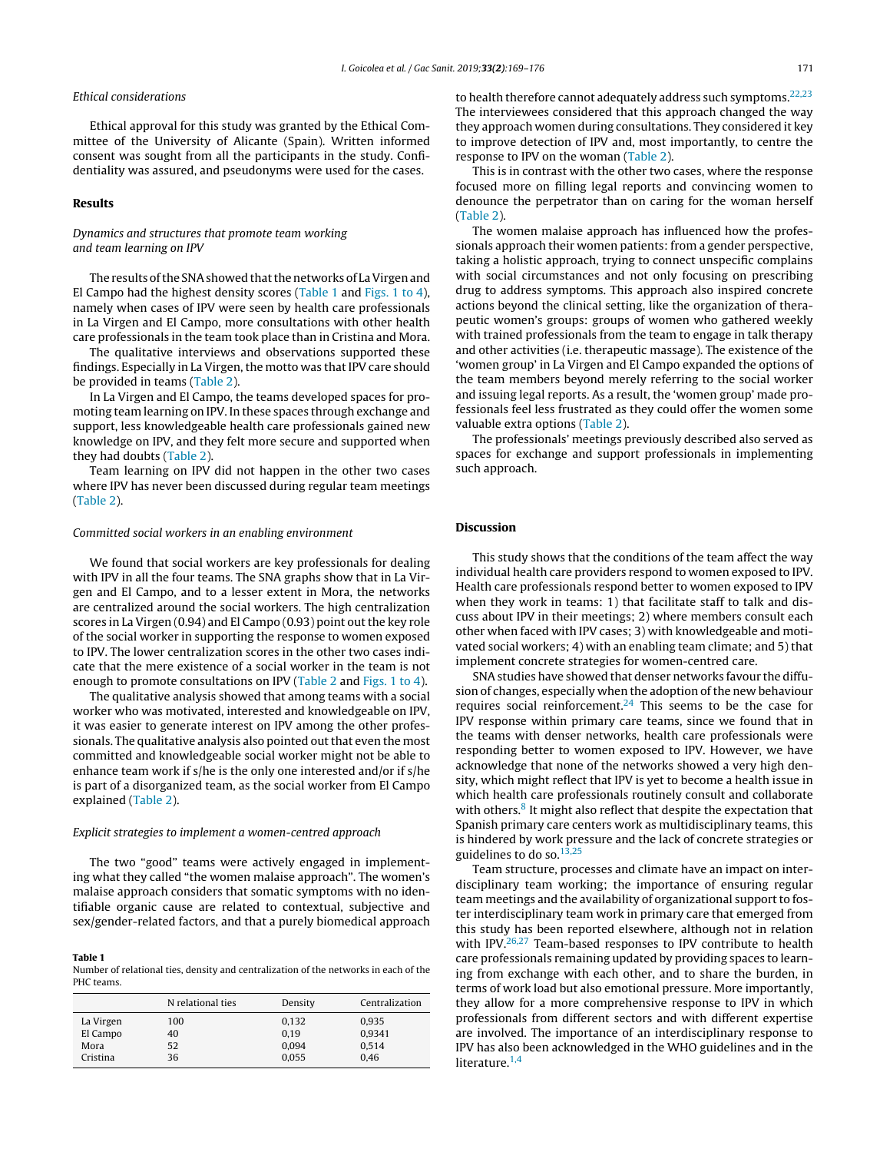# Ethical considerations

Ethical approval for this study was granted by the Ethical Committee of the University of Alicante (Spain). Written informed consent was sought from all the participants in the study. Confidentiality was assured, and pseudonyms were used for the cases.

# Results

# Dynamics and structures that promote team working and team learning on IPV

The results of the SNA showed that the networks of La Virgen and El Campo had the highest density scores (Table 1 and [Figs.](#page-3-0) 1 to 4), namely when cases of IPV were seen by health care professionals in La Virgen and El Campo, more consultations with other health care professionals in the team took place than in Cristina and Mora.

The qualitative interviews and observations supported these findings. Especially in La Virgen, the motto was that IPV care should be provided in teams [\(Table](#page-5-0) 2).

In La Virgen and El Campo, the teams developed spaces for promoting team learning on IPV. In these spaces through exchange and support, less knowledgeable health care professionals gained new knowledge on IPV, and they felt more secure and supported when they had doubts [\(Table](#page-5-0) 2).

Team learning on IPV did not happen in the other two cases where IPV has never been discussed during regular team meetings ([Table](#page-5-0) 2).

#### Committed social workers in an enabling environment

We found that social workers are key professionals for dealing with IPV in all the four teams. The SNA graphs show that in La Virgen and El Campo, and to a lesser extent in Mora, the networks are centralized around the social workers. The high centralization scores in La Virgen (0.94) and El Campo (0.93) point out the key role of the social worker in supporting the response to women exposed to IPV. The lower centralization scores in the other two cases indicate that the mere existence of a social worker in the team is not enough to promote consultations on IPV [\(Table](#page-5-0) 2 and [Figs.](#page-3-0) 1 to 4).

The qualitative analysis showed that among teams with a social worker who was motivated, interested and knowledgeable on IPV, it was easier to generate interest on IPV among the other professionals. The qualitative analysis also pointed out that even the most committed and knowledgeable social worker might not be able to enhance team work if s/he is the only one interested and/or if s/he is part of a disorganized team, as the social worker from El Campo explained [\(Table](#page-5-0) 2).

## Explicit strategies to implement a women-centred approach

The two "good" teams were actively engaged in implementing what they called "the women malaise approach". The women's malaise approach considers that somatic symptoms with no identifiable organic cause are related to contextual, subjective and sex/gender-related factors, and that a purely biomedical approach

## Table 1

Number of relational ties, density and centralization of the networks in each of the PHC teams.

|           | N relational ties | Density | Centralization |
|-----------|-------------------|---------|----------------|
| La Virgen | 100               | 0,132   | 0,935          |
| El Campo  | 40                | 0.19    | 0.9341         |
| Mora      | 52                | 0,094   | 0.514          |
| Cristina  | 36                | 0.055   | 0.46           |

to health therefore cannot adequately address such symptoms.<sup>[22,23](#page-6-0)</sup> The interviewees considered that this approach changed the way they approach women during consultations. They considered it key to improve detection of IPV and, most importantly, to centre the response to IPV on the woman [\(Table](#page-5-0) 2).

This is in contrast with the other two cases, where the response focused more on filling legal reports and convincing women to denounce the perpetrator than on caring for the woman herself [\(Table](#page-5-0) 2).

The women malaise approach has influenced how the professionals approach their women patients: from a gender perspective, taking a holistic approach, trying to connect unspecific complains with social circumstances and not only focusing on prescribing drug to address symptoms. This approach also inspired concrete actions beyond the clinical setting, like the organization of therapeutic women's groups: groups of women who gathered weekly with trained professionals from the team to engage in talk therapy and other activities (i.e. therapeutic massage). The existence of the 'women group' in La Virgen and El Campo expanded the options of the team members beyond merely referring to the social worker and issuing legal reports. As a result, the 'women group' made professionals feel less frustrated as they could offer the women some valuable extra options [\(Table](#page-5-0) 2).

The professionals' meetings previously described also served as spaces for exchange and support professionals in implementing such approach.

# Discussion

This study shows that the conditions of the team affect the way individual health care providers respond to women exposed to IPV. Health care professionals respond better to women exposed to IPV when they work in teams: 1) that facilitate staff to talk and discuss about IPV in their meetings; 2) where members consult each other when faced with IPV cases; 3) with knowledgeable and motivated social workers; 4) with an enabling team climate; and 5) that implement concrete strategies for women-centred care.

SNA studies have showed that denser networks favour the diffusion of changes, especially when the adoption of the new behaviour requires social reinforcement.<sup>[24](#page-6-0)</sup> This seems to be the case for IPV response within primary care teams, since we found that in the teams with denser networks, health care professionals were responding better to women exposed to IPV. However, we have acknowledge that none of the networks showed a very high density, which might reflect that IPV is yet to become a health issue in which health care professionals routinely consult and collaborate with others.<sup>[8](#page-6-0)</sup> It might also reflect that despite the expectation that Spanish primary care centers work as multidisciplinary teams, this is hindered by work pressure and the lack of concrete strategies or guidelines to do so. $13,25$ 

Team structure, processes and climate have an impact on interdisciplinary team working; the importance of ensuring regular team meetings and the availability of organizational support to foster interdisciplinary team work in primary care that emerged from this study has been reported elsewhere, although not in relation with IPV.<sup>[26,27](#page-6-0)</sup> Team-based responses to IPV contribute to health care professionals remaining updated by providing spaces to learning from exchange with each other, and to share the burden, in terms of work load but also emotional pressure. More importantly, they allow for a more comprehensive response to IPV in which professionals from different sectors and with different expertise are involved. The importance of an interdisciplinary response to IPV has also been acknowledged in the WHO guidelines and in the literature.<sup>[1,4](#page-6-0)</sup>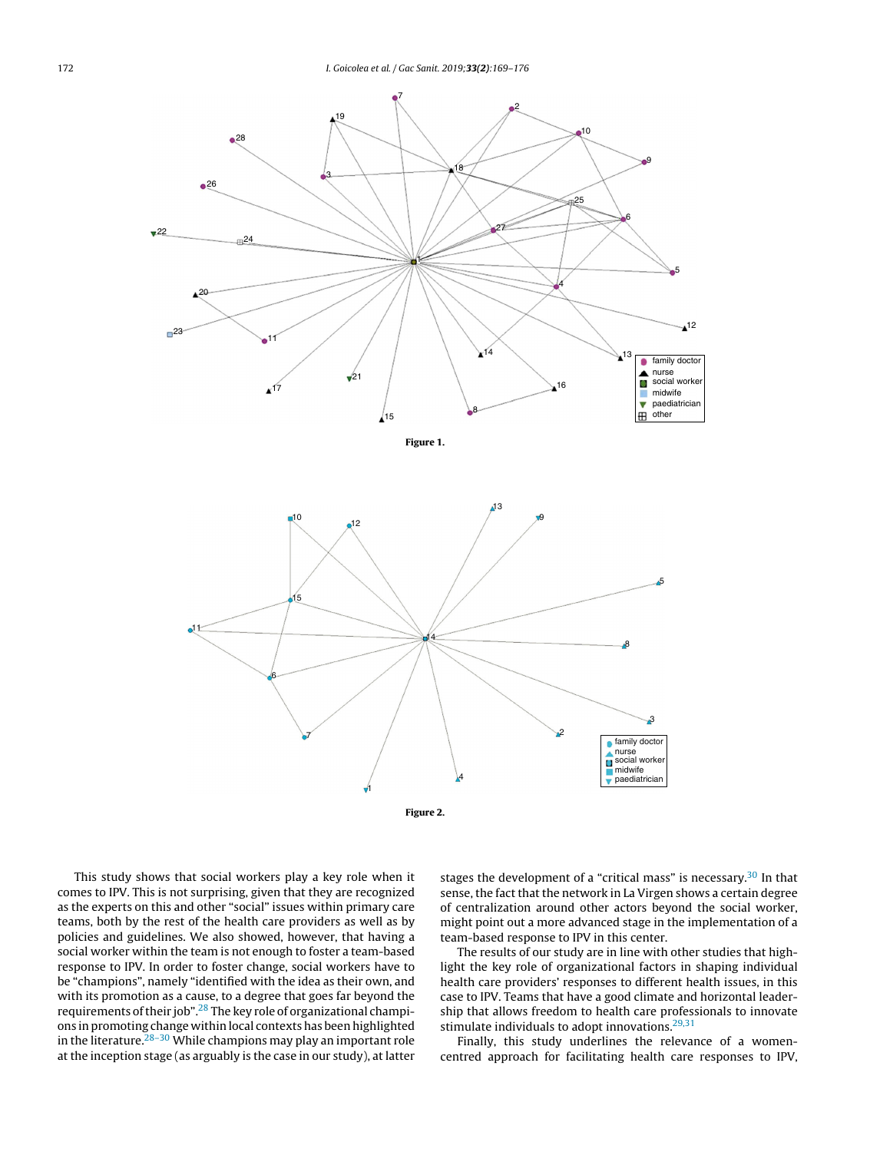<span id="page-3-0"></span>

Figure 2.

This study shows that social workers play a key role when it comes to IPV. This is not surprising, given that they are recognized as the experts on this and other "social" issues within primary care teams, both by the rest of the health care providers as well as by policies and guidelines. We also showed, however, that having a social worker within the team is not enough to foster a team-based response to IPV. In order to foster change, social workers have to be "champions", namely "identified with the idea as their own, and with its promotion as a cause, to a degree that goes far beyond the requirements of their job".<sup>[28](#page-6-0)</sup> The key role of organizational champions in promoting change within local contexts has been highlighted in the literature. $28-30$  While champions may play an important role at the inception stage (as arguably is the case in our study), at latter

stages the development of a "critical mass" is necessary. $30$  In that sense, the fact that the network in La Virgen shows a certain degree of centralization around other actors beyond the social worker, might point out a more advanced stage in the implementation of a team-based response to IPV in this center.

The results of our study are in line with other studies that highlight the key role of organizational factors in shaping individual health care providers' responses to different health issues, in this case to IPV. Teams that have a good climate and horizontal leadership that allows freedom to health care professionals to innovate stimulate individuals to adopt innovations.<sup>[29,31](#page-6-0)</sup>

Finally, this study underlines the relevance of a womencentred approach for facilitating health care responses to IPV,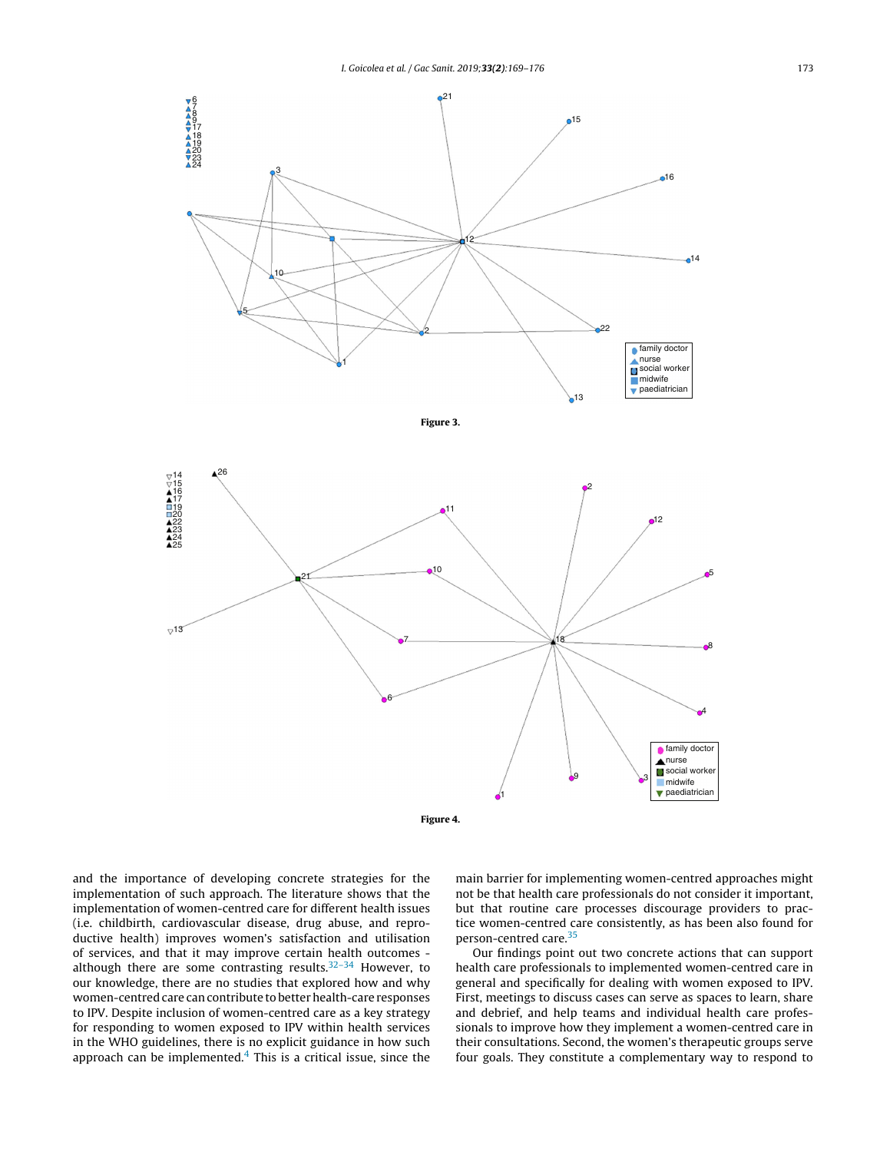





and the importance of developing concrete strategies for the implementation of such approach. The literature shows that the implementation of women-centred care for different health issues (i.e. childbirth, cardiovascular disease, drug abuse, and reproductive health) improves women's satisfaction and utilisation of services, and that it may improve certain health outcomes although there are some contrasting results. $32-34$  However, to our knowledge, there are no studies that explored how and why women-centred care can contribute to better health-care responses to IPV. Despite inclusion of women-centred care as a key strategy for responding to women exposed to IPV within health services in the WHO guidelines, there is no explicit guidance in how such approach can be implemented. $4$  This is a critical issue, since the

main barrier for implementing women-centred approaches might not be that health care professionals do not consider it important, but that routine care processes discourage providers to practice women-centred care consistently, as has been also found for person-centred care.[35](#page-7-0)

Our findings point out two concrete actions that can support health care professionals to implemented women-centred care in general and specifically for dealing with women exposed to IPV. First, meetings to discuss cases can serve as spaces to learn, share and debrief, and help teams and individual health care professionals to improve how they implement a women-centred care in their consultations. Second, the women's therapeutic groups serve four goals. They constitute a complementary way to respond to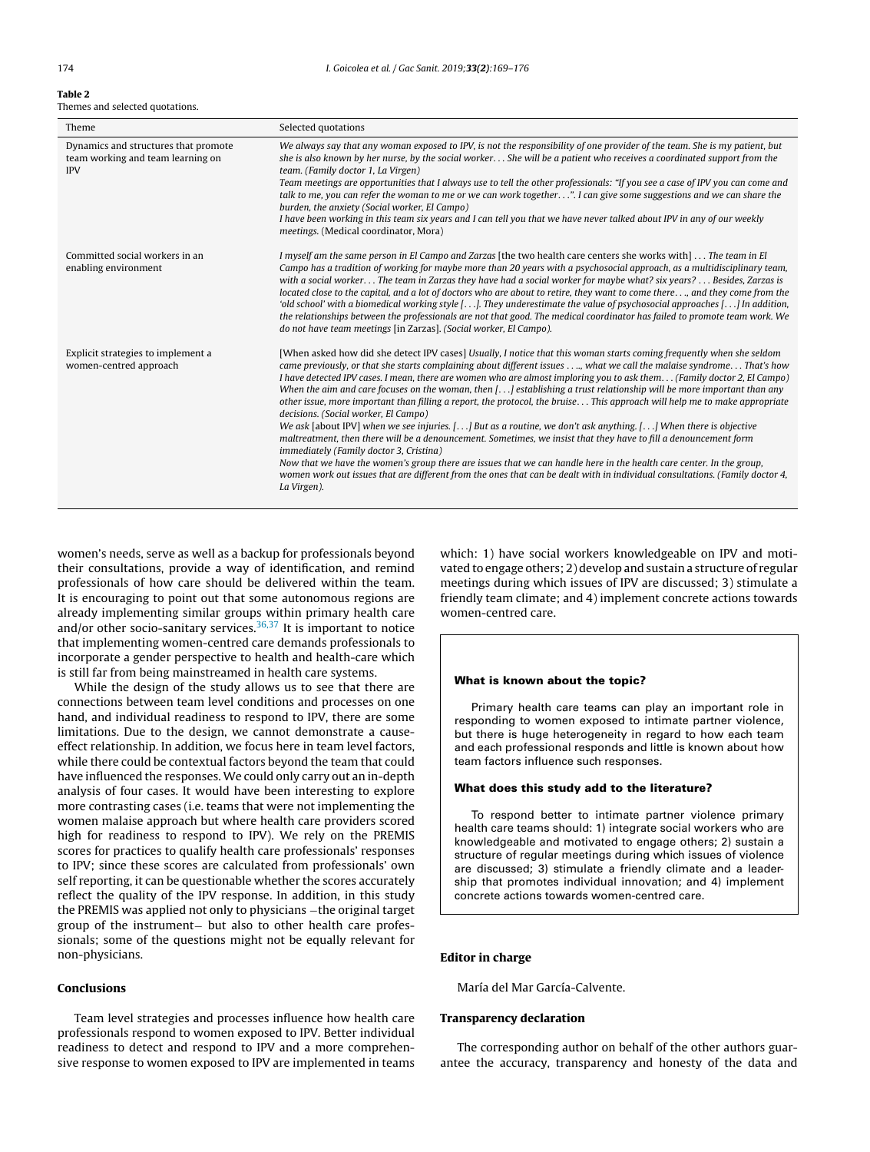#### <span id="page-5-0"></span>Table 2 Themes and selected quotations.

| Theme                                                                                   | Selected quotations                                                                                                                                                                                                                                                                                                                                                                                                                                                                                                                                                                                                                                                                                                                                                                                                                                                                                                                                                                                                                                                                                                                                                                                                                      |
|-----------------------------------------------------------------------------------------|------------------------------------------------------------------------------------------------------------------------------------------------------------------------------------------------------------------------------------------------------------------------------------------------------------------------------------------------------------------------------------------------------------------------------------------------------------------------------------------------------------------------------------------------------------------------------------------------------------------------------------------------------------------------------------------------------------------------------------------------------------------------------------------------------------------------------------------------------------------------------------------------------------------------------------------------------------------------------------------------------------------------------------------------------------------------------------------------------------------------------------------------------------------------------------------------------------------------------------------|
| Dynamics and structures that promote<br>team working and team learning on<br><b>IPV</b> | We always say that any woman exposed to IPV, is not the responsibility of one provider of the team. She is my patient, but<br>she is also known by her nurse, by the social worker She will be a patient who receives a coordinated support from the<br>team. (Family doctor 1, La Virgen)<br>Team meetings are opportunities that I always use to tell the other professionals: "If you see a case of IPV you can come and<br>talk to me, you can refer the woman to me or we can work together". I can give some suggestions and we can share the<br>burden, the anxiety (Social worker, El Campo)<br>I have been working in this team six years and I can tell you that we have never talked about IPV in any of our weekly<br>meetings. (Medical coordinator, Mora)                                                                                                                                                                                                                                                                                                                                                                                                                                                                  |
| Committed social workers in an<br>enabling environment                                  | I myself am the same person in El Campo and Zarzas [the two health care centers she works with]  The team in El<br>Campo has a tradition of working for maybe more than 20 years with a psychosocial approach, as a multidisciplinary team,<br>with a social worker The team in Zarzas they have had a social worker for maybe what? six years?  Besides, Zarzas is<br>located close to the capital, and a lot of doctors who are about to retire, they want to come there, and they come from the<br>'old school' with a biomedical working style $[\ldots]$ . They underestimate the value of psychosocial approaches $[\ldots]$ In addition,<br>the relationships between the professionals are not that good. The medical coordinator has failed to promote team work. We<br>do not have team meetings [in Zarzas]. (Social worker, El Campo).                                                                                                                                                                                                                                                                                                                                                                                       |
| Explicit strategies to implement a<br>women-centred approach                            | [When asked how did she detect IPV cases] Usually, I notice that this woman starts coming frequently when she seldom<br>came previously, or that she starts complaining about different issues., what we call the malaise syndrome. That's how<br>I have detected IPV cases. I mean, there are women who are almost imploring you to ask them (Family doctor 2, El Campo)<br>When the aim and care focuses on the woman, then [] establishing a trust relationship will be more important than any<br>other issue, more important than filling a report, the protocol, the bruise This approach will help me to make appropriate<br>decisions. (Social worker, El Campo)<br>We ask [about IPV] when we see injuries. [] But as a routine, we don't ask anything. [] When there is objective<br>maltreatment, then there will be a denouncement. Sometimes, we insist that they have to fill a denouncement form<br><i>immediately (Family doctor 3, Cristina)</i><br>Now that we have the women's group there are issues that we can handle here in the health care center. In the group,<br>women work out issues that are different from the ones that can be dealt with in individual consultations. (Family doctor 4,<br>La Virgen). |

women's needs, serve as well as a backup for professionals beyond their consultations, provide a way of identification, and remind professionals of how care should be delivered within the team. It is encouraging to point out that some autonomous regions are already implementing similar groups within primary health care and/or other socio-sanitary services.<sup>[36,37](#page-7-0)</sup> It is important to notice that implementing women-centred care demands professionals to incorporate a gender perspective to health and health-care which is still far from being mainstreamed in health care systems.

While the design of the study allows us to see that there are connections between team level conditions and processes on one hand, and individual readiness to respond to IPV, there are some limitations. Due to the design, we cannot demonstrate a causeeffect relationship. In addition, we focus here in team level factors, while there could be contextual factors beyond the team that could have influenced the responses. We could only carry out an in-depth analysis of four cases. It would have been interesting to explore more contrasting cases (i.e. teams that were not implementing the women malaise approach but where health care providers scored high for readiness to respond to IPV). We rely on the PREMIS scores for practices to qualify health care professionals' responses to IPV; since these scores are calculated from professionals' own self reporting, it can be questionable whether the scores accurately reflect the quality of the IPV response. In addition, in this study the PREMIS was applied not only to physicians –the original target group of the instrument– but also to other health care professionals; some of the questions might not be equally relevant for non-physicians.

# Conclusions

Team level strategies and processes influence how health care professionals respond to women exposed to IPV. Better individual readiness to detect and respond to IPV and a more comprehensive response to women exposed to IPV are implemented in teams which: 1) have social workers knowledgeable on IPV and motivated to engage others; 2) develop and sustain a structure of regular meetings during which issues of IPV are discussed; 3) stimulate a friendly team climate; and 4) implement concrete actions towards women-centred care.

#### What is known about the topic?

Primary health care teams can play an important role in responding to women exposed to intimate partner violence, but there is huge heterogeneity in regard to how each team and each professional responds and little is known about how team factors influence such responses.

# What does this study add to the literature?

To respond better to intimate partner violence primary health care teams should: 1) integrate social workers who are knowledgeable and motivated to engage others; 2) sustain a structure of regular meetings during which issues of violence are discussed; 3) stimulate a friendly climate and a leadership that promotes individual innovation; and 4) implement concrete actions towards women-centred care.

# Editor in charge

María del Mar García-Calvente.

# Transparency declaration

The corresponding author on behalf of the other authors guarantee the accuracy, transparency and honesty of the data and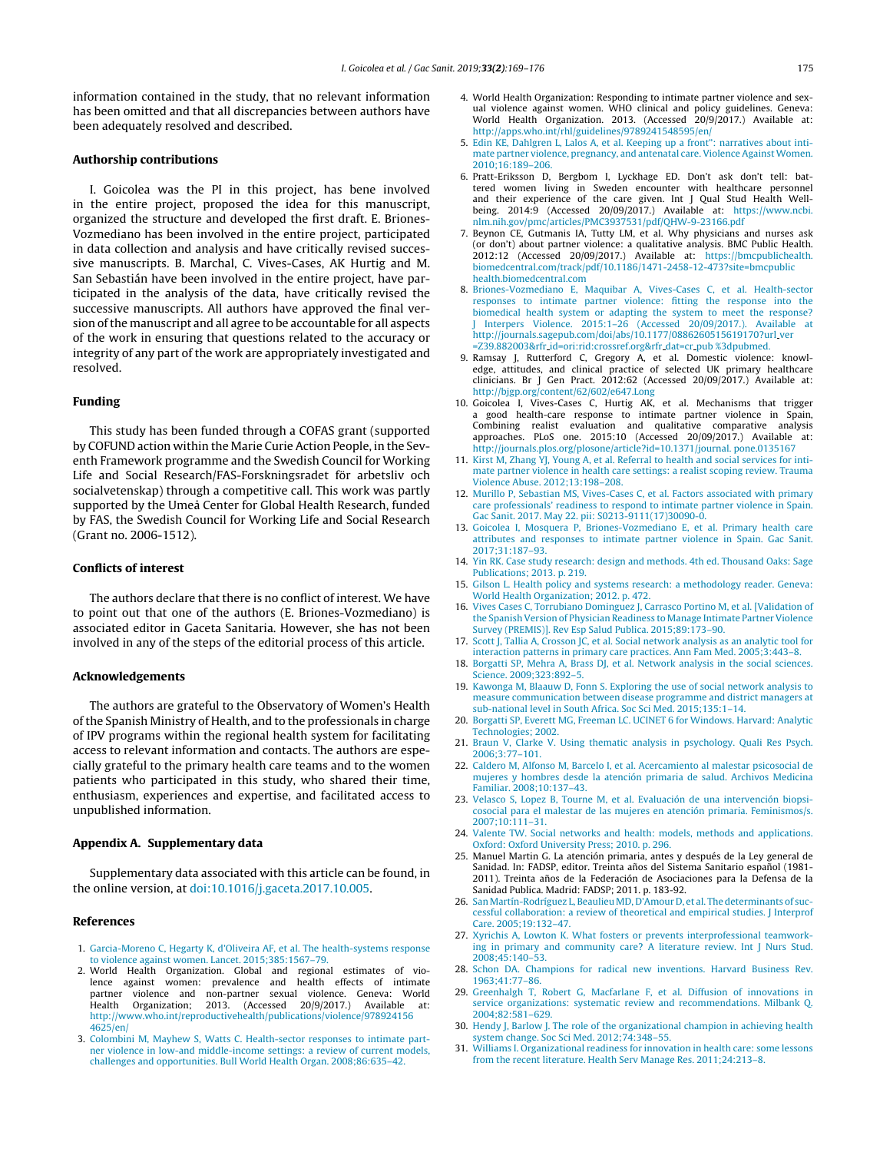<span id="page-6-0"></span>information contained in the study, that no relevant information has been omitted and that all discrepancies between authors have been adequately resolved and described.

# Authorship contributions

I. Goicolea was the PI in this project, has bene involved in the entire project, proposed the idea for this manuscript, organized the structure and developed the first draft. E. Briones-Vozmediano has been involved in the entire project, participated in data collection and analysis and have critically revised successive manuscripts. B. Marchal, C. Vives-Cases, AK Hurtig and M. San Sebastián have been involved in the entire project, have participated in the analysis of the data, have critically revised the successive manuscripts. All authors have approved the final version of the manuscript and all agree to be accountable for all aspects of the work in ensuring that questions related to the accuracy or integrity of any part of the work are appropriately investigated and resolved.

# Funding

This study has been funded through a COFAS grant (supported by COFUND action within the Marie Curie Action People, in the Seventh Framework programme and the Swedish Council for Working Life and Social Research/FAS-Forskningsradet för arbetsliv och socialvetenskap) through a competitive call. This work was partly supported by the Umeå Center for Global Health Research, funded by FAS, the Swedish Council for Working Life and Social Research (Grant no. 2006-1512).

# Conflicts of interest

The authors declare that there is no conflict of interest. We have to point out that one of the authors (E. Briones-Vozmediano) is associated editor in Gaceta Sanitaria. However, she has not been involved in any of the steps of the editorial process of this article.

# Acknowledgements

The authors are grateful to the Observatory of Women's Health ofthe Spanish Ministry of Health, and to the professionals in charge of IPV programs within the regional health system for facilitating access to relevant information and contacts. The authors are especially grateful to the primary health care teams and to the women patients who participated in this study, who shared their time, enthusiasm, experiences and expertise, and facilitated access to unpublished information.

# Appendix A. Supplementary data

Supplementary data associated with this article can be found, in the online version, at [doi:10.1016/j.gaceta.2017.10.005.](http://dx.doi.org/10.1016/j.gaceta.2017.10.005)

# References

- 1. Garcia-Moreno C, Hegarty K, d'Oliveira AF, et al. The health-systems response to violence against women. Lancet. 2015;385:1567–79.
- 2. World Health Organization. Global and regional estimates of violence against women: prevalence and partner violence and non-partner sexual violence. Geneva: World Health Organization; 2013. (Accessed 20/9/2017.) Available at: [http://www.who.int/reproductivehealth/publications/violence/978924156](http://www.who.int/reproductivehealth/publications/violence/9789241564625/en/) [4625/en/](http://www.who.int/reproductivehealth/publications/violence/9789241564625/en/)
- 3. Colombini M, Mayhew S, Watts C. Health-sector responses to intimate partner violence in low-and middle-income settings: a review of current models, challenges and opportunities. Bull World Health Organ. 2008;86:635–42.
- 4. World Health Organization: Responding to intimate partner violence and sexual violence against women. WHO clinical and policy guidelines. Geneva: World Health Organization. 2013. (Accessed 20/9/2017.) Available at: <http://apps.who.int/rhl/guidelines/9789241548595/en/>
- 5. Edin KE, Dahlgren L, Lalos A, et al. Keeping up a front": narratives about intimate partner violence, pregnancy, and antenatal care. Violence Against Women. 2010;16:189–206.
- 6. Pratt-Eriksson D, Bergbom I, Lyckhage ED. Don't ask don't tell: battered women living in Sweden encounter with healthcare personnel and their experience of the care given. Int J Qual Stud Health Wellbeing. 2014:9 (Accessed 20/09/2017.) Available at: [https://www.ncbi.](https://www.ncbi.nlm.nih.gov/pmc/articles/PMC3937531/pdf/QHW-9-23166.pdf) [nlm.nih.gov/pmc/articles/PMC3937531/pdf/QHW-9-23166.pdf](https://www.ncbi.nlm.nih.gov/pmc/articles/PMC3937531/pdf/QHW-9-23166.pdf)
- 7. Beynon CE, Gutmanis IA, Tutty LM, et al. Why physicians and nurses ask (or don't) about partner violence: a qualitative analysis. BMC Public Health. 2012:12 (Accessed 20/09/2017.) Available at: [https://bmcpublichealth.](https://bmcpublichealth.biomedcentral.com/track/pdf/10.1186/1471-2458-12-473?site=bmcpublichealth.biomedcentral.com) [biomedcentral.com/track/pdf/10.1186/1471-2458-12-473?site=bmcpublic](https://bmcpublichealth.biomedcentral.com/track/pdf/10.1186/1471-2458-12-473?site=bmcpublichealth.biomedcentral.com) [health.biomedcentral.com](https://bmcpublichealth.biomedcentral.com/track/pdf/10.1186/1471-2458-12-473?site=bmcpublichealth.biomedcentral.com)
- 8. Briones-Vozmediano E, Maquibar A, Vives-Cases C, et al. Health-sector responses to intimate partner violence: fitting the response into the biomedical health system or adapting the system to meet the response? J Interpers Violence. 2015:1–26 (Accessed 20/09/2017.). Available at http://journals.sagepub.com/doi/abs/10.1177/0886260515619170?url ver =Z39.882003&rfr id=ori:rid:crossref.org&rfr dat=cr pub %3dpubmed.
- 9. Ramsay J, Rutterford C, Gregory A, et al. Domestic violence: knowledge, attitudes, and clinical practice of selected UK primary healthcare clinicians. Br J Gen Pract. 2012:62 (Accessed 20/09/2017.) Available at: <http://bjgp.org/content/62/602/e647.Long>
- 10. Goicolea I, Vives-Cases C, Hurtig AK, et al. Mechanisms that trigger a good health-care response to intimate partner violence in Spain, Combining realist evaluation and qualitative comparative analysis approaches. PLoS one. 2015:10 (Accessed 20/09/2017.) Available at: [http://journals.plos.org/plosone/article?id=10.1371/journal.](http://journals.plos.org/plosone/article?id=10.1371/journal. pone.0135167) pone.0135167
- 11. Kirst M, Zhang YJ, Young A, et al. Referral to health and social services for intimate partner violence in health care settings: a realist scoping review. Trauma Violence Abuse. 2012;13:198–208.
- 12. Murillo P, Sebastian MS, Vives-Cases C, et al. Factors associated with primary care professionals' readiness to respond to intimate partner violence in Spain. Gac Sanit. 2017. May 22. pii: S0213-9111(17)30090-0.
- 13. Goicolea I, Mosquera P, Briones-Vozmediano E, et al. Primary health care attributes and responses to intimate partner violence in Spain. Gac Sanit. 2017;31:187–93.
- 14. Yin RK. Case study research: design and methods. 4th ed. Thousand Oaks: Sage Publications; 2013. p. 219.
- 15. Gilson L. Health policy and systems research: a methodology reader. Geneva: World Health Organization; 2012. p. 472.
- 16. Vives Cases C, Torrubiano Dominguez J, Carrasco Portino M, et al. [Validation of the Spanish Version of Physician Readiness to Manage Intimate Partner Violence Survey (PREMIS)]. Rev Esp Salud Publica. 2015;89:173–90.
- 17. Scott J, Tallia A, Crosson JC, et al. Social network analysis as an analytic tool for interaction patterns in primary care practices. Ann Fam Med. 2005;3:443–8.
- 18. Borgatti SP, Mehra A, Brass DJ, et al. Network analysis in the social sciences. Science. 2009;323:892–5.
- 19. Kawonga M, Blaauw D, Fonn S. Exploring the use of social network analysis to measure communication between disease programme and district managers at sub-national level in South Africa. Soc Sci Med. 2015;135:1–14.
- 20. Borgatti SP, Everett MG, Freeman LC. UCINET 6 for Windows. Harvard: Analytic Technologies; 2002.
- 21. Braun V, Clarke V. Using thematic analysis in psychology. Quali Res Psych. 2006;3:77–101.
- 22. Caldero M, Alfonso M, Barcelo I, et al. Acercamiento al malestar psicosocial de mujeres y hombres desde la atención primaria de salud. Archivos Medicina Familiar. 2008;10:137–43.
- 23. Velasco S, Lopez B, Tourne M, et al. Evaluación de una intervención biopsicosocial para el malestar de las mujeres en atención primaria. Feminismos/s. 2007;10:111–31.
- 24. Valente TW. Social networks and health: models, methods and applications. Oxford: Oxford University Press; 2010. p. 296.
- 25. Manuel Martin G. La atención primaria, antes y después de la Ley general de Sanidad. In: FADSP, editor. Treinta años del Sistema Sanitario español (1981-2011). Treinta años de la Federación de Asociaciones para la Defensa de la Sanidad Publica. Madrid: FADSP; 2011. p. 183-92.
- 26. San Martín-Rodríguez L, Beaulieu MD, D'Amour D, et al. The determinants of successful collaboration: a review of theoretical and empirical studies. J Interprof Care. 2005;19:132–47.
- 27. Xyrichis A, Lowton K. What fosters or prevents interprofessional teamworking in primary and community care? A literature review. Int J Nurs Stud. 2008;45:140–53.
- 28. Schon DA. Champions for radical new inventions. Harvard Business Rev. 1963;41:77–86.
- 29. Greenhalgh T, Robert G, Macfarlane F, et al. Diffusion of innovations in service organizations: systematic review and recommendations. Milbank Q. 2004;82:581–629.
- 30. Hendy J, Barlow J. The role of the organizational champion in achieving health system change. Soc Sci Med. 2012;74:348–55.
- 31. Williams I. Organizational readiness for innovation in health care: some lessons from the recent literature. Health Serv Manage Res. 2011;24:213–8.